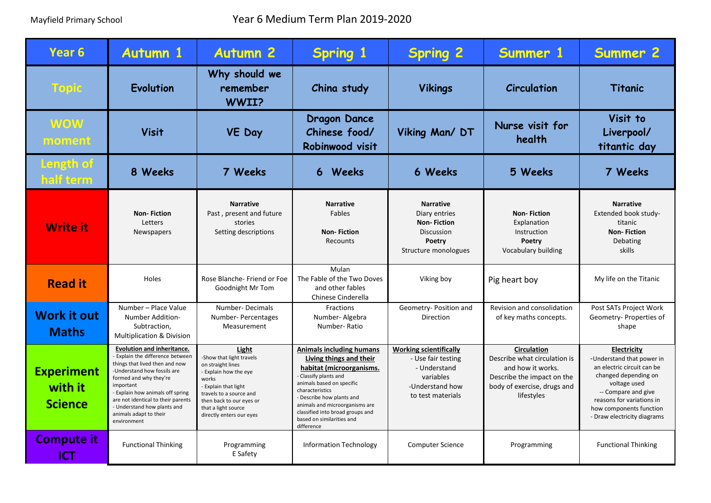| Year <sub>6</sub>                              | <b>Autumn 1</b>                                                                                                                                                                                                                                                                                                                 | <b>Autumn 2</b>                                                                                                                                                                                                            | <b>Spring 1</b>                                                                                                                                                                                                                                                                                             | <b>Spring 2</b>                                                                                                          | Summer 1                                                                                                                                           | <b>Summer 2</b>                                                                                                                                                                                                              |
|------------------------------------------------|---------------------------------------------------------------------------------------------------------------------------------------------------------------------------------------------------------------------------------------------------------------------------------------------------------------------------------|----------------------------------------------------------------------------------------------------------------------------------------------------------------------------------------------------------------------------|-------------------------------------------------------------------------------------------------------------------------------------------------------------------------------------------------------------------------------------------------------------------------------------------------------------|--------------------------------------------------------------------------------------------------------------------------|----------------------------------------------------------------------------------------------------------------------------------------------------|------------------------------------------------------------------------------------------------------------------------------------------------------------------------------------------------------------------------------|
| Topic                                          | Evolution                                                                                                                                                                                                                                                                                                                       | Why should we<br>remember<br>WWII?                                                                                                                                                                                         | China study                                                                                                                                                                                                                                                                                                 | <b>Vikings</b>                                                                                                           | Circulation                                                                                                                                        | <b>Titanic</b>                                                                                                                                                                                                               |
| <b>WOW</b><br>moment                           | <b>Visit</b>                                                                                                                                                                                                                                                                                                                    | <b>VE Day</b>                                                                                                                                                                                                              | <b>Dragon Dance</b><br>Chinese food/<br>Robinwood visit                                                                                                                                                                                                                                                     | Viking Man/DT                                                                                                            | Nurse visit for<br>health                                                                                                                          | Visit to<br>Liverpool/<br>titantic day                                                                                                                                                                                       |
| Length of<br>half term                         | 8 Weeks                                                                                                                                                                                                                                                                                                                         | 7 Weeks                                                                                                                                                                                                                    | 6 Weeks                                                                                                                                                                                                                                                                                                     | 6 Weeks                                                                                                                  | 5 Weeks                                                                                                                                            | 7 Weeks                                                                                                                                                                                                                      |
| <b>Write it</b>                                | <b>Non-Fiction</b><br>Letters<br><b>Newspapers</b>                                                                                                                                                                                                                                                                              | <b>Narrative</b><br>Past, present and future<br>stories<br>Setting descriptions                                                                                                                                            | <b>Narrative</b><br>Fables<br><b>Non-Fiction</b><br>Recounts                                                                                                                                                                                                                                                | <b>Narrative</b><br>Diary entries<br><b>Non-Fiction</b><br><b>Discussion</b><br>Poetry<br>Structure monologues           | <b>Non-Fiction</b><br>Explanation<br>Instruction<br>Poetry<br>Vocabulary building                                                                  | <b>Narrative</b><br>Extended book study-<br>titanic<br><b>Non-Fiction</b><br>Debating<br>skills                                                                                                                              |
| <b>Read it</b>                                 | Holes                                                                                                                                                                                                                                                                                                                           | Rose Blanche-Friend or Foe<br>Goodnight Mr Tom                                                                                                                                                                             | Mulan<br>The Fable of the Two Doves<br>and other fables<br>Chinese Cinderella                                                                                                                                                                                                                               | Viking boy                                                                                                               | Pig heart boy                                                                                                                                      | My life on the Titanic                                                                                                                                                                                                       |
| <b>Work it out</b><br><b>Maths</b>             | Number - Place Value<br><b>Number Addition-</b><br>Subtraction,<br><b>Multiplication &amp; Division</b>                                                                                                                                                                                                                         | Number-Decimals<br>Number-Percentages<br>Measurement                                                                                                                                                                       | Fractions<br>Number-Algebra<br>Number-Ratio                                                                                                                                                                                                                                                                 | Geometry- Position and<br>Direction                                                                                      | Revision and consolidation<br>of key maths concepts.                                                                                               | Post SATs Project Work<br>Geometry-Properties of<br>shape                                                                                                                                                                    |
| <b>Experiment</b><br>with it<br><b>Science</b> | <b>Evolution and inheritance.</b><br>- Explain the difference between<br>things that lived then and now<br>-Understand how fossils are<br>formed and why they're<br>important<br>- Explain how animals off spring<br>are not identical to their parents<br>- Understand how plants and<br>animals adapt to their<br>environment | Light<br>-Show that light travels<br>on straight lines<br>- Explain how the eye<br>works<br>- Explain that light<br>travels to a source and<br>then back to our eyes or<br>that a light source<br>directly enters our eyes | <b>Animals including humans</b><br>Living things and their<br>habitat (microorganisms.<br>Classify plants and<br>animals based on specific<br>characteristics<br>- Describe how plants and<br>animals and microorganisms are<br>classified into broad groups and<br>based on similarities and<br>difference | <b>Working scientifically</b><br>- Use fair testing<br>- Understand<br>variables<br>-Understand how<br>to test materials | <b>Circulation</b><br>Describe what circulation is<br>and how it works.<br>Describe the impact on the<br>body of exercise, drugs and<br>lifestyles | Electricity<br>-Understand that power in<br>an electric circuit can be<br>changed depending on<br>voltage used<br>-- Compare and give<br>reasons for variations in<br>how components function<br>- Draw electricity diagrams |
| <b>Compute it</b><br><b>ICT</b>                | <b>Functional Thinking</b>                                                                                                                                                                                                                                                                                                      | Programming<br>E Safety                                                                                                                                                                                                    | <b>Information Technology</b>                                                                                                                                                                                                                                                                               | <b>Computer Science</b>                                                                                                  | Programming                                                                                                                                        | <b>Functional Thinking</b>                                                                                                                                                                                                   |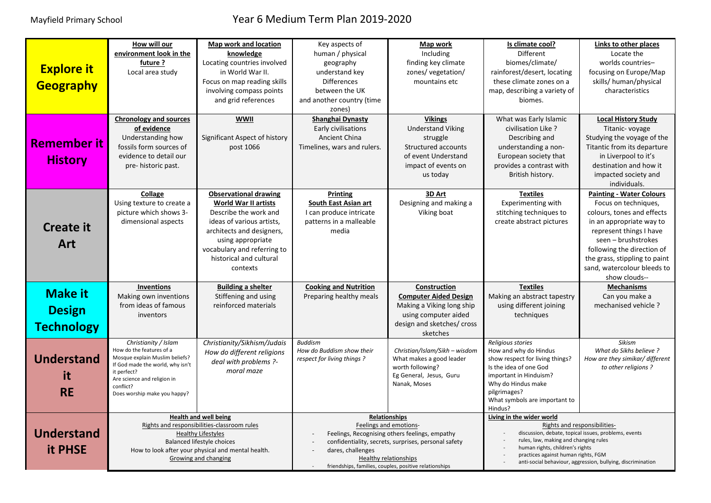## Mayfield Primary School Year 6 Medium Term Plan 2019-2020

| <b>Explore it</b><br><b>Geography</b>                | How will our<br>environment look in the<br>future ?<br>Local area study<br><b>Chronology and sources</b>                                                                                                             | Map work and location<br>knowledge<br>Locating countries involved<br>in World War II.<br>Focus on map reading skills<br>involving compass points<br>and grid references<br><b>WWII</b>                                             | Key aspects of<br>human / physical<br>geography<br>understand key<br><b>Differences</b><br>between the UK<br>and another country (time<br>zones)<br><b>Shanghai Dynasty</b>                                                                                                                  | Map work<br>Including<br>finding key climate<br>zones/ vegetation/<br>mountains etc.<br><b>Vikings</b>                                      | Is climate cool?<br><b>Different</b><br>biomes/climate/<br>rainforest/desert, locating<br>these climate zones on a<br>map, describing a variety of<br>biomes.<br>What was Early Islamic                                                                                                             | Links to other places<br>Locate the<br>worlds countries-<br>focusing on Europe/Map<br>skills/ human/physical<br>characteristics<br><b>Local History Study</b>                                                                                                                      |
|------------------------------------------------------|----------------------------------------------------------------------------------------------------------------------------------------------------------------------------------------------------------------------|------------------------------------------------------------------------------------------------------------------------------------------------------------------------------------------------------------------------------------|----------------------------------------------------------------------------------------------------------------------------------------------------------------------------------------------------------------------------------------------------------------------------------------------|---------------------------------------------------------------------------------------------------------------------------------------------|-----------------------------------------------------------------------------------------------------------------------------------------------------------------------------------------------------------------------------------------------------------------------------------------------------|------------------------------------------------------------------------------------------------------------------------------------------------------------------------------------------------------------------------------------------------------------------------------------|
| <b>Remember it</b><br><b>History</b>                 | of evidence<br>Understanding how<br>fossils form sources of<br>evidence to detail our<br>pre-historic past.                                                                                                          | Significant Aspect of history<br>post 1066                                                                                                                                                                                         | Early civilisations<br><b>Ancient China</b><br>Timelines, wars and rulers.                                                                                                                                                                                                                   | <b>Understand Viking</b><br>struggle<br>Structured accounts<br>of event Understand<br>impact of events on<br>us today                       | civilisation Like ?<br>Describing and<br>understanding a non-<br>European society that<br>provides a contrast with<br>British history.                                                                                                                                                              | Titanic-voyage<br>Studying the voyage of the<br>Titantic from its departure<br>in Liverpool to it's<br>destination and how it<br>impacted society and<br>individuals.                                                                                                              |
| <b>Create it</b><br><b>Art</b>                       | Collage<br>Using texture to create a<br>picture which shows 3-<br>dimensional aspects                                                                                                                                | <b>Observational drawing</b><br>World War II artists<br>Describe the work and<br>ideas of various artists,<br>architects and designers,<br>using appropriate<br>vocabulary and referring to<br>historical and cultural<br>contexts | <b>Printing</b><br>South East Asian art<br>I can produce intricate<br>patterns in a malleable<br>media                                                                                                                                                                                       | 3D Art<br>Designing and making a<br>Viking boat                                                                                             | <b>Textiles</b><br>Experimenting with<br>stitching techniques to<br>create abstract pictures                                                                                                                                                                                                        | <b>Painting - Water Colours</b><br>Focus on techniques,<br>colours, tones and effects<br>in an appropriate way to<br>represent things I have<br>seen - brushstrokes<br>following the direction of<br>the grass, stippling to paint<br>sand, watercolour bleeds to<br>show clouds-- |
| <b>Make it</b><br><b>Design</b><br><b>Technology</b> | <b>Inventions</b><br>Making own inventions<br>from ideas of famous<br>inventors                                                                                                                                      | <b>Building a shelter</b><br>Stiffening and using<br>reinforced materials                                                                                                                                                          | <b>Cooking and Nutrition</b><br>Preparing healthy meals                                                                                                                                                                                                                                      | Construction<br><b>Computer Aided Design</b><br>Making a Viking long ship<br>using computer aided<br>design and sketches/ cross<br>sketches | <b>Textiles</b><br>Making an abstract tapestry<br>using different joining<br>techniques                                                                                                                                                                                                             | <b>Mechanisms</b><br>Can you make a<br>mechanised vehicle?                                                                                                                                                                                                                         |
| <b>Understand</b><br>it.<br><b>RE</b>                | Christianity / Islam<br>How do the features of a<br>Mosque explain Muslim beliefs?<br>If God made the world, why isn't<br>it perfect?<br>Are science and religion in<br>conflict?<br>Does worship make you happy?    | Christianity/Sikhism/Judais<br>How do different religions<br>deal with problems ?-<br>moral maze                                                                                                                                   | <b>Buddism</b><br>How do Buddism show their<br>respect for living things?                                                                                                                                                                                                                    | Christian/Islam/Sikh - wisdom<br>What makes a good leader<br>worth following?<br>Eg General, Jesus, Guru<br>Nanak, Moses                    | Religious stories<br>How and why do Hindus<br>show respect for living things?<br>Is the idea of one God<br>important in Hinduism?<br>Why do Hindus make<br>pilgrimages?<br>What symbols are important to<br>Hindus?                                                                                 | Sikism<br>What do Sikhs believe ?<br>How are they simikar/ different<br>to other religions?                                                                                                                                                                                        |
| <b>Understand</b><br>it PHSE                         | <b>Health and well being</b><br>Rights and responsibilities-classroom rules<br><b>Healthy Lifestyles</b><br>Balanced lifestyle choices<br>How to look after your physical and mental health.<br>Growing and changing |                                                                                                                                                                                                                                    | <b>Relationships</b><br>Feelings and emotions-<br>Feelings, Recognising others feelings, empathy<br>confidentiality, secrets, surprises, personal safety<br>dares, challenges<br>Healthy relationships<br>friendships, families, couples, positive relationships<br>$\overline{\phantom{a}}$ |                                                                                                                                             | Living in the wider world<br>Rights and responsibilities-<br>discussion, debate, topical issues, problems, events<br>rules, law, making and changing rules<br>human rights, children's rights<br>practices against human rights, FGM<br>anti-social behaviour, aggression, bullying, discrimination |                                                                                                                                                                                                                                                                                    |